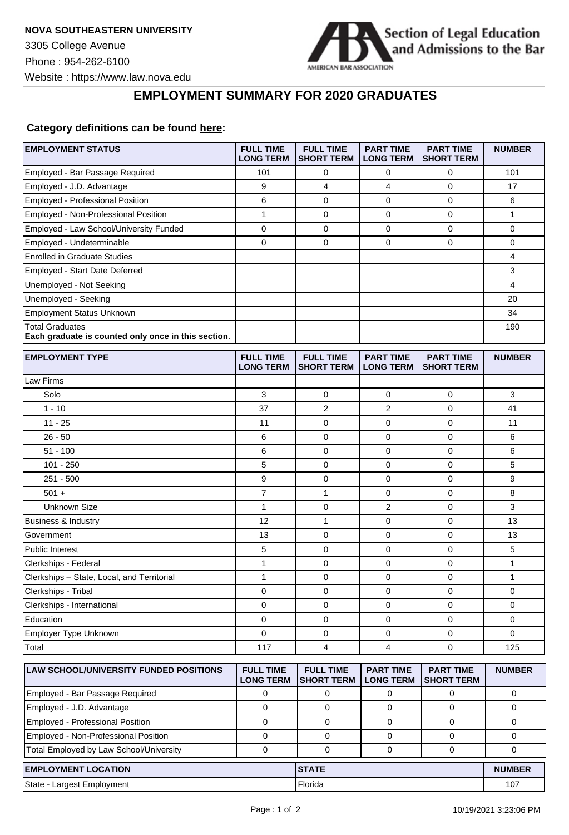

## **EMPLOYMENT SUMMARY FOR 2020 GRADUATES**

## **Category definitions can be found [here:](https://www.americanbar.org/content/dam/aba/administrative/legal_education_and_admissions_to_the_bar/Questionnaires/employment-protocol-class-of-2020.pdf)**

| <b>EMPLOYMENT STATUS</b>                                                      | <b>FULL TIME</b><br><b>LONG TERM</b> | <b>FULL TIME</b><br><b>SHORT TERM</b> | <b>PART TIME</b><br><b>LONG TERM</b> | <b>PART TIME</b><br><b>SHORT TERM</b> | <b>NUMBER</b> |
|-------------------------------------------------------------------------------|--------------------------------------|---------------------------------------|--------------------------------------|---------------------------------------|---------------|
| Employed - Bar Passage Required                                               | 101                                  | 0                                     | 0                                    | 0                                     | 101           |
| Employed - J.D. Advantage                                                     | 9                                    | 4                                     | 4                                    | $\mathbf 0$                           | 17            |
| <b>Employed - Professional Position</b>                                       | 6                                    | $\mathbf 0$                           | 0                                    | $\mathbf 0$                           | 6             |
| Employed - Non-Professional Position                                          | $\mathbf{1}$                         | 0                                     | 0                                    | 0                                     | $\mathbf{1}$  |
| Employed - Law School/University Funded                                       | $\pmb{0}$                            | 0                                     | $\pmb{0}$                            | $\pmb{0}$                             | 0             |
| Employed - Undeterminable                                                     | $\mathbf 0$                          | $\mathbf 0$                           | 0                                    | $\mathbf 0$                           | 0             |
| <b>Enrolled in Graduate Studies</b>                                           |                                      |                                       |                                      |                                       | 4             |
| Employed - Start Date Deferred                                                |                                      |                                       |                                      |                                       | 3             |
| Unemployed - Not Seeking                                                      |                                      |                                       |                                      |                                       | 4             |
| Unemployed - Seeking                                                          |                                      |                                       |                                      |                                       | 20            |
| <b>Employment Status Unknown</b>                                              |                                      |                                       |                                      |                                       | 34            |
| <b>Total Graduates</b><br>Each graduate is counted only once in this section. |                                      |                                       |                                      |                                       | 190           |
| <b>EMPLOYMENT TYPE</b>                                                        | <b>FULL TIME</b><br><b>LONG TERM</b> | <b>FULL TIME</b><br><b>SHORT TERM</b> | <b>PART TIME</b><br><b>LONG TERM</b> | <b>PART TIME</b><br><b>SHORT TERM</b> | <b>NUMBER</b> |
| Law Firms                                                                     |                                      |                                       |                                      |                                       |               |
| Solo                                                                          | 3                                    | 0                                     | 0                                    | 0                                     | 3             |
| $1 - 10$                                                                      | 37                                   | 2                                     | 2                                    | $\mathbf 0$                           | 41            |
| $11 - 25$                                                                     | 11                                   | 0                                     | 0                                    | $\mathbf 0$                           | 11            |
| $26 - 50$                                                                     | 6                                    | 0                                     | 0                                    | $\mathbf 0$                           | 6             |
| $51 - 100$                                                                    | 6                                    | 0                                     | 0                                    | $\mathbf 0$                           | 6             |
| $101 - 250$                                                                   | 5                                    | 0                                     | $\mathbf 0$                          | $\mathbf 0$                           | 5             |
| $251 - 500$                                                                   | 9                                    | 0                                     | 0                                    | $\mathbf 0$                           | 9             |
| $501 +$                                                                       | 7                                    | $\mathbf{1}$                          | 0                                    | 0                                     | 8             |
| <b>Unknown Size</b>                                                           | $\mathbf{1}$                         | $\mathbf 0$                           | $\overline{2}$                       | $\mathbf 0$                           | 3             |
| <b>Business &amp; Industry</b>                                                | 12                                   | 1                                     | 0                                    | $\mathbf 0$                           | 13            |
| Government                                                                    | 13                                   | $\mathbf 0$                           | 0                                    | $\mathbf 0$                           | 13            |
| Public Interest                                                               | 5                                    | 0                                     | 0                                    | $\mathbf 0$                           | 5             |
| Clerkships - Federal                                                          | $\mathbf{1}$                         | 0                                     | 0                                    | $\mathbf 0$                           | $\mathbf{1}$  |
| Clerkships - State, Local, and Territorial                                    | $\mathbf{1}$                         | 0                                     | $\mathbf 0$                          | 0                                     | 1             |
| Clerkships - Tribal                                                           | 0                                    | 0                                     | 0                                    | $\mathbf 0$                           | 0             |
| Clerkships - International                                                    | 0                                    | 0                                     | 0                                    | $\mathbf 0$                           | 0             |
| Education                                                                     | 0                                    | 0                                     | 0                                    | 0                                     | 0             |
| Employer Type Unknown                                                         | 0                                    | $\mathbf 0$                           | $\mathbf 0$                          | $\mathbf 0$                           | 0             |
| Total                                                                         | 117                                  | 4                                     | 4                                    | $\mathbf 0$                           | 125           |
| LAW SCHOOL/UNIVERSITY FUNDED POSITIONS                                        | <b>FULL TIME</b><br><b>LONG TERM</b> | <b>FULL TIME</b><br><b>SHORT TERM</b> | <b>PART TIME</b><br><b>LONG TERM</b> | <b>PART TIME</b><br><b>SHORT TERM</b> | <b>NUMBER</b> |
| Employed - Bar Passage Required                                               | 0                                    | 0                                     | 0                                    | 0                                     | 0             |
| Employed - J.D. Advantage                                                     | $\mathbf 0$                          | $\mathbf 0$                           | $\mathbf 0$                          | $\mathbf 0$                           | 0             |
| <b>Employed - Professional Position</b>                                       | $\mathbf 0$                          | $\mathbf 0$                           | 0                                    | $\mathbf 0$                           | 0             |
| Employed - Non-Professional Position                                          | 0                                    | $\mathbf 0$                           | 0                                    | 0                                     | 0             |
| Total Employed by Law School/University                                       | 0                                    | 0                                     | 0                                    | 0                                     | 0             |
| <b>EMPLOYMENT LOCATION</b>                                                    |                                      | <b>STATE</b>                          |                                      |                                       | <b>NUMBER</b> |
| State - Largest Employment                                                    |                                      | Florida                               |                                      |                                       | 107           |
|                                                                               |                                      |                                       |                                      |                                       |               |